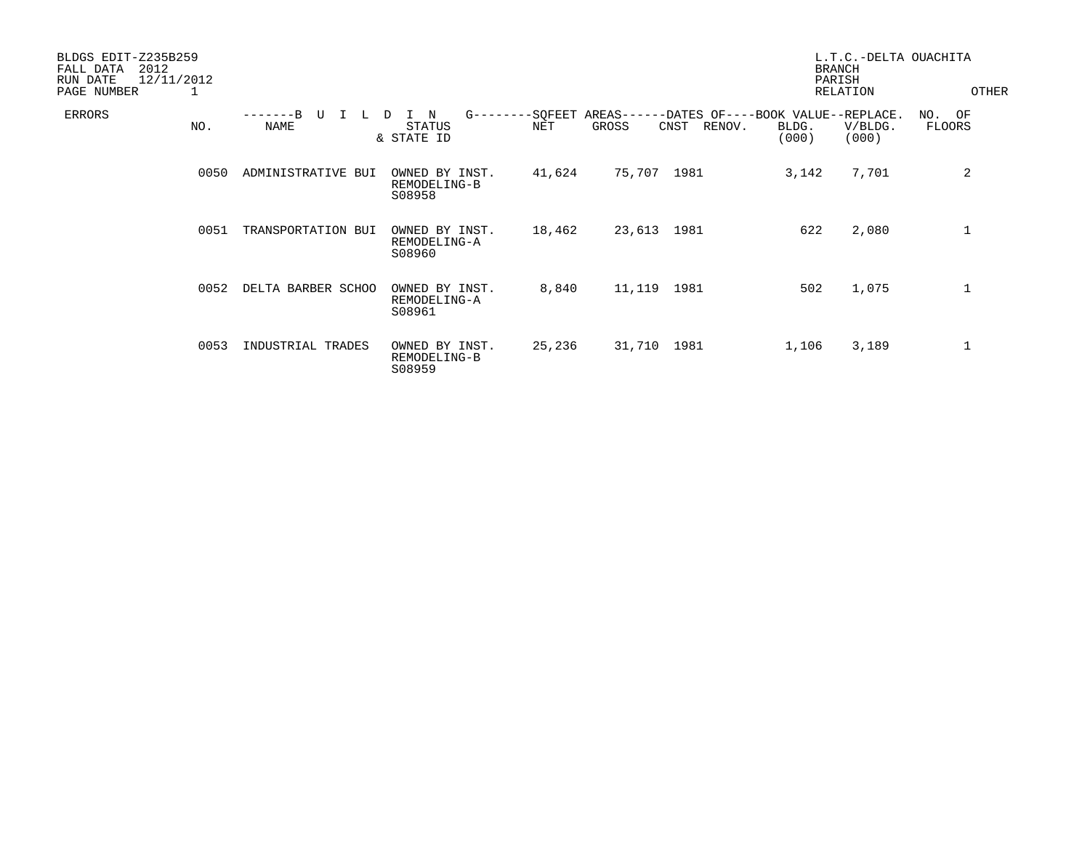| BLDGS EDIT-Z235B259<br>2012<br>FALL DATA<br>12/11/2012<br>RUN DATE<br>PAGE NUMBER | 1    |                    |                                                      |                |                             |                                                               | L.T.C.-DELTA OUACHITA<br><b>BRANCH</b><br>PARISH<br><b>RELATION</b> | OTHER               |
|-----------------------------------------------------------------------------------|------|--------------------|------------------------------------------------------|----------------|-----------------------------|---------------------------------------------------------------|---------------------------------------------------------------------|---------------------|
| ERRORS                                                                            | NO.  | U<br><b>NAME</b>   | $G$ -------<br>N<br>D<br><b>STATUS</b><br>& STATE ID | -SQFEET<br>NET | $AREAS---$<br>GROSS<br>CNST | -DATES OF----BOOK VALUE--REPLACE.<br>RENOV.<br>BLDG.<br>(000) | V/BLDG.<br>(000)                                                    | OF<br>NO.<br>FLOORS |
|                                                                                   | 0050 | ADMINISTRATIVE BUI | OWNED BY INST.<br>REMODELING-B<br>S08958             | 41,624         | 75,707<br>1981              | 3,142                                                         | 7,701                                                               | 2                   |
|                                                                                   | 0051 | TRANSPORTATION BUI | OWNED BY INST.<br>REMODELING-A<br>S08960             | 18,462         | 23,613 1981                 | 622                                                           | 2,080                                                               | 1                   |
|                                                                                   | 0052 | DELTA BARBER SCHOO | OWNED BY INST.<br>REMODELING-A<br>S08961             | 8,840          | 11,119<br>1981              | 502                                                           | 1,075                                                               | $\mathbf 1$         |
|                                                                                   | 0053 | INDUSTRIAL TRADES  | OWNED BY INST.<br>REMODELING-B<br>S08959             | 25,236         | 31,710<br>1981              | 1,106                                                         | 3,189                                                               | 1                   |